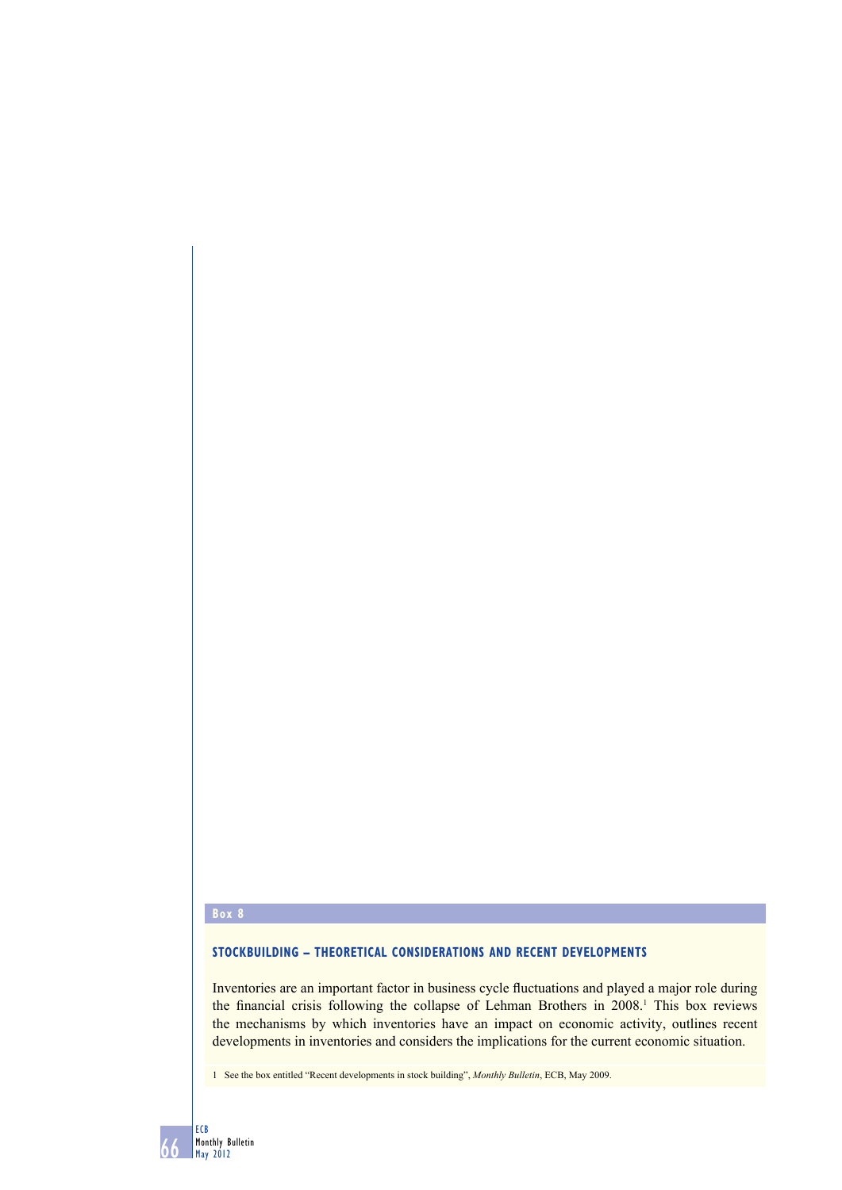# **Box 8**

## **STOCKBUILDING – THEORETICAL CONSIDERATIONS AND RECENT DEVELOPMENTS**

Inventories are an important factor in business cycle fluctuations and played a major role during the financial crisis following the collapse of Lehman Brothers in 2008.<sup>1</sup> This box reviews the mechanisms by which inventories have an impact on economic activity, outlines recent developments in inventories and considers the implications for the current economic situation.

1 See the box entitled "Recent developments in stock building", *Monthly Bulletin*, ECB, May 2009.

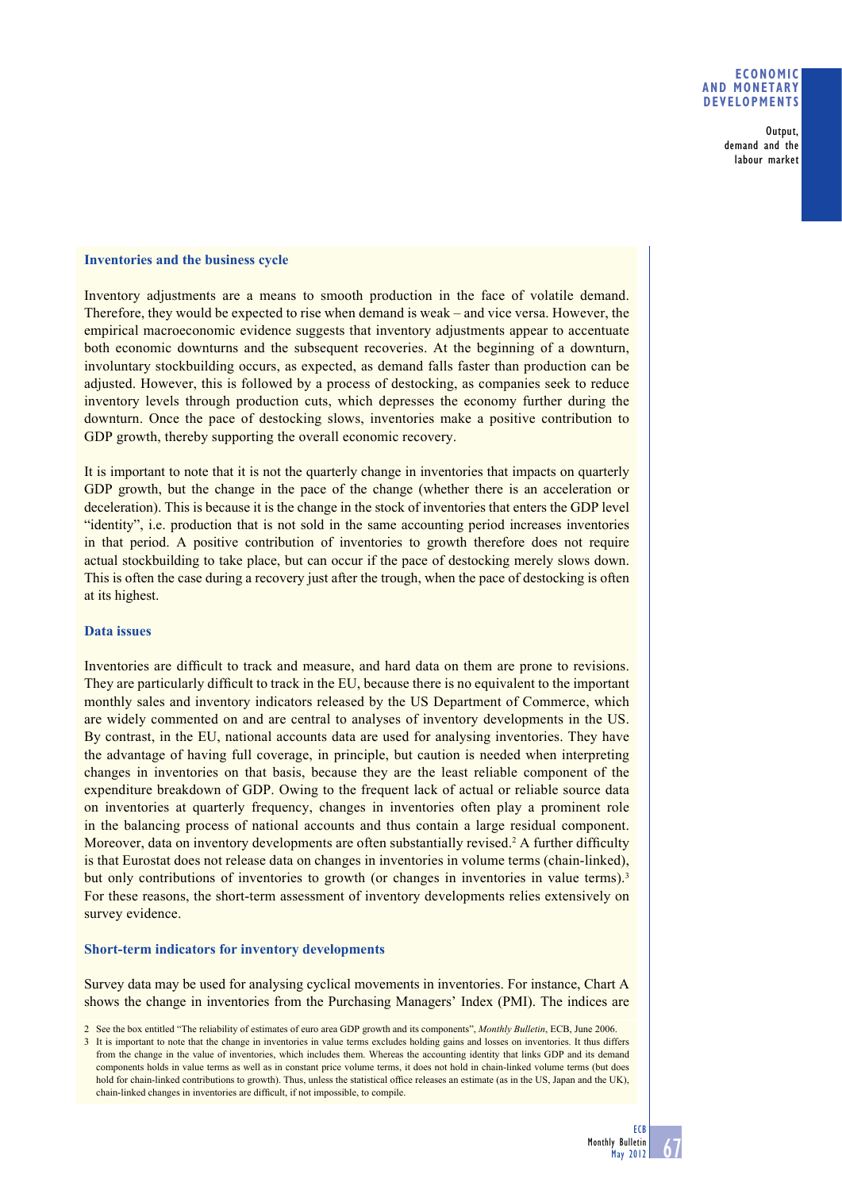## **ECONOMIC AND MONETARY DEVELOPMENTS**

Output, demand and the labour market

### **Inventories and the business cycle**

Inventory adjustments are a means to smooth production in the face of volatile demand. Therefore, they would be expected to rise when demand is weak – and vice versa. However, the empirical macroeconomic evidence suggests that inventory adjustments appear to accentuate both economic downturns and the subsequent recoveries. At the beginning of a downturn, involuntary stockbuilding occurs, as expected, as demand falls faster than production can be adjusted. However, this is followed by a process of destocking, as companies seek to reduce inventory levels through production cuts, which depresses the economy further during the downturn. Once the pace of destocking slows, inventories make a positive contribution to GDP growth, thereby supporting the overall economic recovery.

It is important to note that it is not the quarterly change in inventories that impacts on quarterly GDP growth, but the change in the pace of the change (whether there is an acceleration or deceleration). This is because it is the change in the stock of inventories that enters the GDP level "identity", i.e. production that is not sold in the same accounting period increases inventories in that period. A positive contribution of inventories to growth therefore does not require actual stockbuilding to take place, but can occur if the pace of destocking merely slows down. This is often the case during a recovery just after the trough, when the pace of destocking is often at its highest.

### **Data issues**

Inventories are difficult to track and measure, and hard data on them are prone to revisions. They are particularly difficult to track in the EU, because there is no equivalent to the important monthly sales and inventory indicators released by the US Department of Commerce, which are widely commented on and are central to analyses of inventory developments in the US. By contrast, in the EU, national accounts data are used for analysing inventories. They have the advantage of having full coverage, in principle, but caution is needed when interpreting changes in inventories on that basis, because they are the least reliable component of the expenditure breakdown of GDP. Owing to the frequent lack of actual or reliable source data on inventories at quarterly frequency, changes in inventories often play a prominent role in the balancing process of national accounts and thus contain a large residual component. Moreover, data on inventory developments are often substantially revised.<sup>2</sup> A further difficulty is that Eurostat does not release data on changes in inventories in volume terms (chain-linked), but only contributions of inventories to growth (or changes in inventories in value terms).<sup>3</sup> For these reasons, the short-term assessment of inventory developments relies extensively on survey evidence.

## **Short-term indicators for inventory developments**

Survey data may be used for analysing cyclical movements in inventories. For instance, Chart A shows the change in inventories from the Purchasing Managers' Index (PMI). The indices are

<sup>2</sup> See the box entitled "The reliability of estimates of euro area GDP growth and its components", *Monthly Bulletin*, ECB, June 2006.

<sup>3</sup> It is important to note that the change in inventories in value terms excludes holding gains and losses on inventories. It thus differs from the change in the value of inventories, which includes them. Whereas the accounting identity that links GDP and its demand components holds in value terms as well as in constant price volume terms, it does not hold in chain-linked volume terms (but does hold for chain-linked contributions to growth). Thus, unless the statistical office releases an estimate (as in the US, Japan and the UK) chain-linked changes in inventories are difficult, if not impossible, to compile.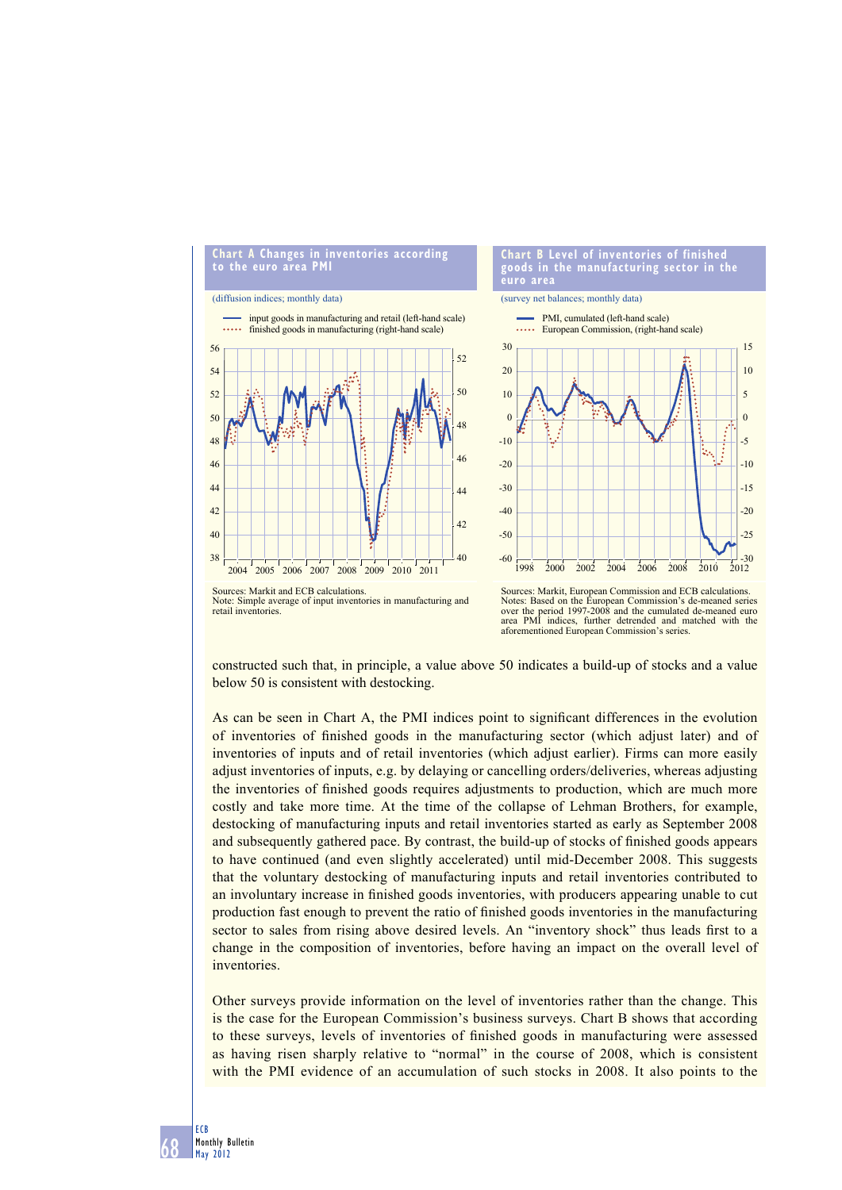

constructed such that, in principle, a value above 50 indicates a build-up of stocks and a value below 50 is consistent with destocking.

As can be seen in Chart A, the PMI indices point to significant differences in the evolution of inventories of finished goods in the manufacturing sector (which adjust later) and of inventories of inputs and of retail inventories (which adjust earlier). Firms can more easily adjust inventories of inputs, e.g. by delaying or cancelling orders/deliveries, whereas adjusting the inventories of finished goods requires adjustments to production, which are much more costly and take more time. At the time of the collapse of Lehman Brothers, for example, destocking of manufacturing inputs and retail inventories started as early as September 2008 and subsequently gathered pace. By contrast, the build-up of stocks of finished goods appears to have continued (and even slightly accelerated) until mid-December 2008. This suggests that the voluntary destocking of manufacturing inputs and retail inventories contributed to an involuntary increase in finished goods inventories, with producers appearing unable to cut production fast enough to prevent the ratio of finished goods inventories in the manufacturing sector to sales from rising above desired levels. An "inventory shock" thus leads first to a change in the composition of inventories, before having an impact on the overall level of inventories.

Other surveys provide information on the level of inventories rather than the change. This is the case for the European Commission's business surveys. Chart B shows that according to these surveys, levels of inventories of finished goods in manufacturing were assessed as having risen sharply relative to "normal" in the course of 2008, which is consistent with the PMI evidence of an accumulation of such stocks in 2008. It also points to the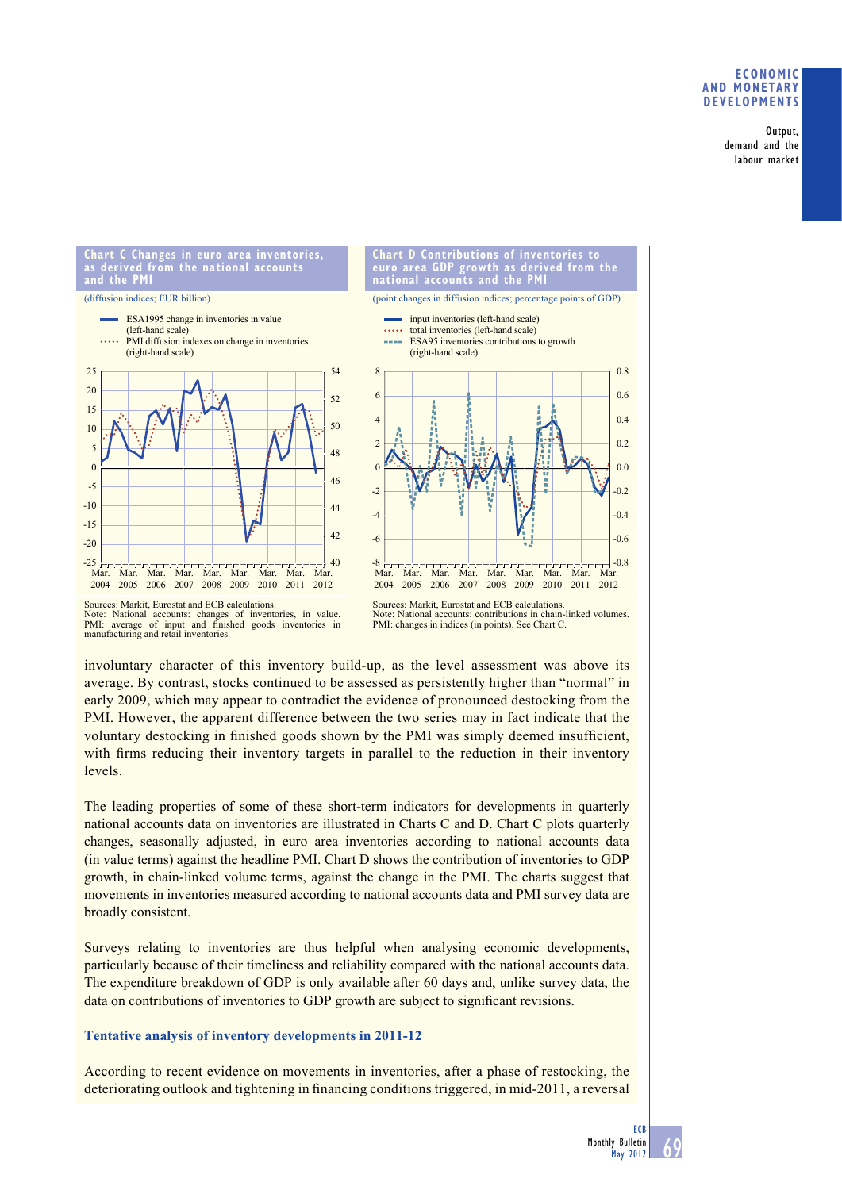## **ECONOMIC AND MONETARY DEVELOPMENTS**

Output, demand and the labour market

#### **Chart C Changes in euro area inventories, as derived from the national accounts and the PMI**

#### (diffusion indices; EUR billion)





Sources: Markit, Eurostat and ECB calculations. Note: National accounts: changes of inventories, in value.<br>PMI: average of input and finished goods inventories in manufacturing and retail inventories.

National accounts: contributions in chain-linked volumes PMI: changes in indices (in points). See Chart C.

involuntary character of this inventory build-up, as the level assessment was above its average. By contrast, stocks continued to be assessed as persistently higher than "normal" in early 2009, which may appear to contradict the evidence of pronounced destocking from the PMI. However, the apparent difference between the two series may in fact indicate that the voluntary destocking in finished goods shown by the PMI was simply deemed insufficient, with firms reducing their inventory targets in parallel to the reduction in their inventory levels.

The leading properties of some of these short-term indicators for developments in quarterly national accounts data on inventories are illustrated in Charts C and D. Chart C plots quarterly changes, seasonally adjusted, in euro area inventories according to national accounts data (in value terms) against the headline PMI. Chart D shows the contribution of inventories to GDP growth, in chain-linked volume terms, against the change in the PMI. The charts suggest that movements in inventories measured according to national accounts data and PMI survey data are broadly consistent.

Surveys relating to inventories are thus helpful when analysing economic developments, particularly because of their timeliness and reliability compared with the national accounts data. The expenditure breakdown of GDP is only available after 60 days and, unlike survey data, the data on contributions of inventories to GDP growth are subject to significant revisions.

## **Tentative analysis of inventory developments in 2011-12**

According to recent evidence on movements in inventories, after a phase of restocking, the deteriorating outlook and tightening in financing conditions triggered, in mid-2011, a reversal